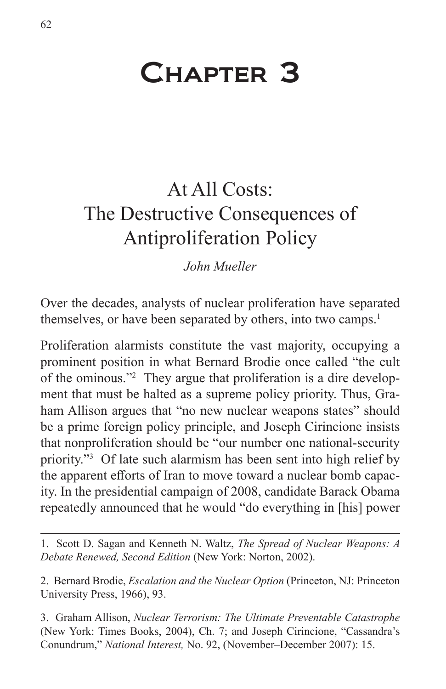# Chapter 3

## At All Costs: The Destructive Consequences of Antiproliferation Policy

*John Mueller*

Over the decades, analysts of nuclear proliferation have separated themselves, or have been separated by others, into two camps.<sup>1</sup>

Proliferation alarmists constitute the vast majority, occupying a prominent position in what Bernard Brodie once called "the cult of the ominous."2 They argue that proliferation is a dire development that must be halted as a supreme policy priority. Thus, Graham Allison argues that "no new nuclear weapons states" should be a prime foreign policy principle, and Joseph Cirincione insists that nonproliferation should be "our number one national-security priority."<sup>3</sup> Of late such alarmism has been sent into high relief by the apparent efforts of Iran to move toward a nuclear bomb capacity. In the presidential campaign of 2008, candidate Barack Obama repeatedly announced that he would "do everything in [his] power

1. Scott D. Sagan and Kenneth N. Waltz, *The Spread of Nuclear Weapons: A Debate Renewed, Second Edition* (New York: Norton, 2002).

2. Bernard Brodie, *Escalation and the Nuclear Option* (Princeton, NJ: Princeton University Press, 1966), 93.

3. Graham Allison, *Nuclear Terrorism: The Ultimate Preventable Catastrophe* (New York: Times Books, 2004), Ch. 7; and Joseph Cirincione, "Cassandra's Conundrum," *National Interest,* No. 92, (November–December 2007): 15.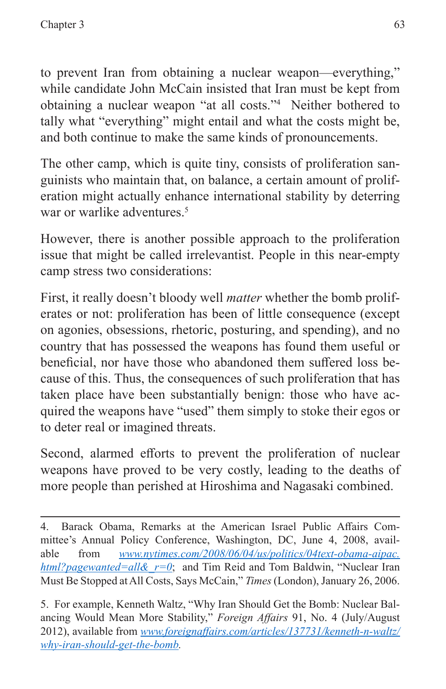to prevent Iran from obtaining a nuclear weapon—everything," while candidate John McCain insisted that Iran must be kept from obtaining a nuclear weapon "at all costs."4 Neither bothered to tally what "everything" might entail and what the costs might be, and both continue to make the same kinds of pronouncements.

The other camp, which is quite tiny, consists of proliferation sanguinists who maintain that, on balance, a certain amount of proliferation might actually enhance international stability by deterring war or warlike adventures.<sup>5</sup>

However, there is another possible approach to the proliferation issue that might be called irrelevantist. People in this near-empty camp stress two considerations:

First, it really doesn't bloody well *matter* whether the bomb proliferates or not: proliferation has been of little consequence (except on agonies, obsessions, rhetoric, posturing, and spending), and no country that has possessed the weapons has found them useful or beneficial, nor have those who abandoned them suffered loss because of this. Thus, the consequences of such proliferation that has taken place have been substantially benign: those who have acquired the weapons have "used" them simply to stoke their egos or to deter real or imagined threats.

Second, alarmed efforts to prevent the proliferation of nuclear weapons have proved to be very costly, leading to the deaths of more people than perished at Hiroshima and Nagasaki combined.

<sup>4.</sup> Barack Obama, Remarks at the American Israel Public Affairs Committee's Annual Policy Conference, Washington, DC, June 4, 2008, available from *[www.nytimes.com/2008/06/04/us/politics/04text-obama-aipac.](www.nytimes.com/2008/06/04/us/politics/04text-obama-aipac.html?pagewanted=all&_r=0) [html?pagewanted=all&\\_r=0](www.nytimes.com/2008/06/04/us/politics/04text-obama-aipac.html?pagewanted=all&_r=0)*; and Tim Reid and Tom Baldwin, "Nuclear Iran Must Be Stopped at All Costs, Says McCain," *Times* (London), January 26, 2006.

<sup>5.</sup> For example, Kenneth Waltz, "Why Iran Should Get the Bomb: Nuclear Balancing Would Mean More Stability," *Foreign Affairs* 91, No. 4 (July/August 2012), available from *[www.foreignaffairs.com/articles/137731/kenneth-n-waltz/](www.foreignaffairs.com/articles/137731/kenneth-n-waltz/why-iran-should-get-the-bomb) [why-iran-should-get-the-bomb.](www.foreignaffairs.com/articles/137731/kenneth-n-waltz/why-iran-should-get-the-bomb)*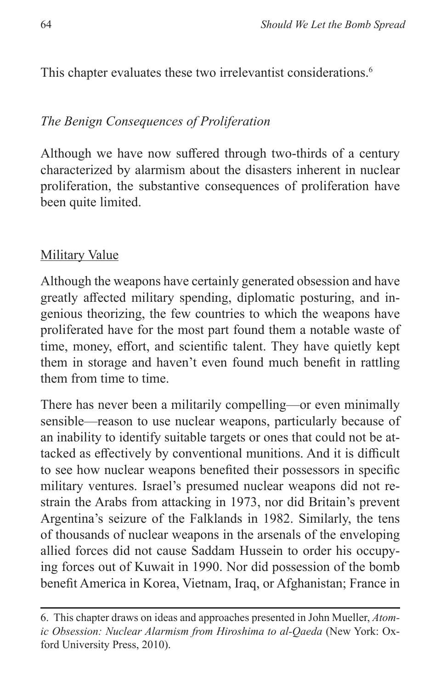This chapter evaluates these two irrelevantist considerations.<sup>6</sup>

#### *The Benign Consequences of Proliferation*

Although we have now suffered through two-thirds of a century characterized by alarmism about the disasters inherent in nuclear proliferation, the substantive consequences of proliferation have been quite limited.

#### Military Value

Although the weapons have certainly generated obsession and have greatly affected military spending, diplomatic posturing, and ingenious theorizing, the few countries to which the weapons have proliferated have for the most part found them a notable waste of time, money, effort, and scientific talent. They have quietly kept them in storage and haven't even found much benefit in rattling them from time to time.

There has never been a militarily compelling—or even minimally sensible—reason to use nuclear weapons, particularly because of an inability to identify suitable targets or ones that could not be attacked as effectively by conventional munitions. And it is difficult to see how nuclear weapons benefited their possessors in specific military ventures. Israel's presumed nuclear weapons did not restrain the Arabs from attacking in 1973, nor did Britain's prevent Argentina's seizure of the Falklands in 1982. Similarly, the tens of thousands of nuclear weapons in the arsenals of the enveloping allied forces did not cause Saddam Hussein to order his occupying forces out of Kuwait in 1990. Nor did possession of the bomb benefit America in Korea, Vietnam, Iraq, or Afghanistan; France in

<sup>6.</sup> This chapter draws on ideas and approaches presented in John Mueller, *Atomic Obsession: Nuclear Alarmism from Hiroshima to al-Qaeda* (New York: Oxford University Press, 2010).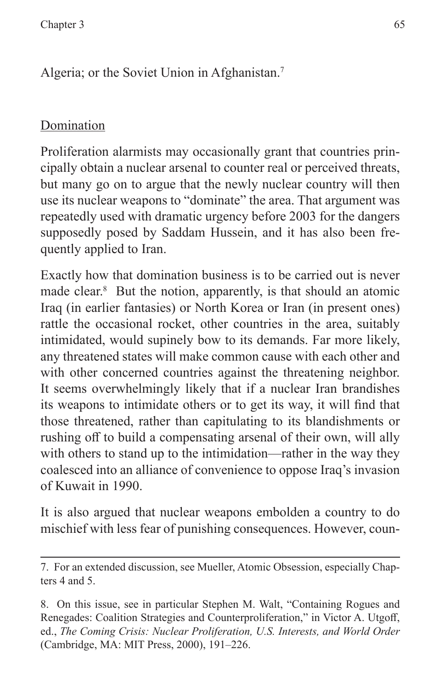Algeria; or the Soviet Union in Afghanistan.7

### Domination

Proliferation alarmists may occasionally grant that countries principally obtain a nuclear arsenal to counter real or perceived threats, but many go on to argue that the newly nuclear country will then use its nuclear weapons to "dominate" the area. That argument was repeatedly used with dramatic urgency before 2003 for the dangers supposedly posed by Saddam Hussein, and it has also been frequently applied to Iran.

Exactly how that domination business is to be carried out is never made clear.<sup>8</sup> But the notion, apparently, is that should an atomic Iraq (in earlier fantasies) or North Korea or Iran (in present ones) rattle the occasional rocket, other countries in the area, suitably intimidated, would supinely bow to its demands. Far more likely, any threatened states will make common cause with each other and with other concerned countries against the threatening neighbor. It seems overwhelmingly likely that if a nuclear Iran brandishes its weapons to intimidate others or to get its way, it will find that those threatened, rather than capitulating to its blandishments or rushing off to build a compensating arsenal of their own, will ally with others to stand up to the intimidation—rather in the way they coalesced into an alliance of convenience to oppose Iraq's invasion of Kuwait in 1990.

It is also argued that nuclear weapons embolden a country to do mischief with less fear of punishing consequences. However, coun-

<sup>7.</sup> For an extended discussion, see Mueller, Atomic Obsession, especially Chapters 4 and 5.

<sup>8.</sup> On this issue, see in particular Stephen M. Walt, "Containing Rogues and Renegades: Coalition Strategies and Counterproliferation," in Victor A. Utgoff, ed., *The Coming Crisis: Nuclear Proliferation, U.S. Interests, and World Order* (Cambridge, MA: MIT Press, 2000), 191–226.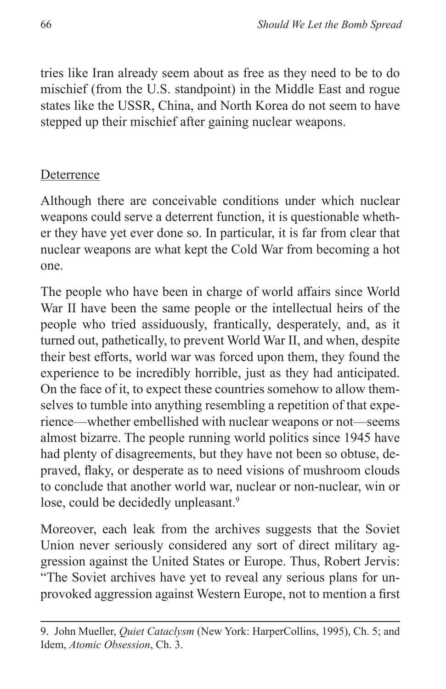tries like Iran already seem about as free as they need to be to do mischief (from the U.S. standpoint) in the Middle East and rogue states like the USSR, China, and North Korea do not seem to have stepped up their mischief after gaining nuclear weapons.

#### **Deterrence**

Although there are conceivable conditions under which nuclear weapons could serve a deterrent function, it is questionable whether they have yet ever done so. In particular, it is far from clear that nuclear weapons are what kept the Cold War from becoming a hot one.

The people who have been in charge of world affairs since World War II have been the same people or the intellectual heirs of the people who tried assiduously, frantically, desperately, and, as it turned out, pathetically, to prevent World War II, and when, despite their best efforts, world war was forced upon them, they found the experience to be incredibly horrible, just as they had anticipated. On the face of it, to expect these countries somehow to allow themselves to tumble into anything resembling a repetition of that experience—whether embellished with nuclear weapons or not—seems almost bizarre. The people running world politics since 1945 have had plenty of disagreements, but they have not been so obtuse, depraved, flaky, or desperate as to need visions of mushroom clouds to conclude that another world war, nuclear or non-nuclear, win or lose, could be decidedly unpleasant.<sup>9</sup>

Moreover, each leak from the archives suggests that the Soviet Union never seriously considered any sort of direct military aggression against the United States or Europe. Thus, Robert Jervis: "The Soviet archives have yet to reveal any serious plans for unprovoked aggression against Western Europe, not to mention a first

<sup>9.</sup> John Mueller, *Quiet Cataclysm* (New York: HarperCollins, 1995), Ch. 5; and Idem, *Atomic Obsession*, Ch. 3.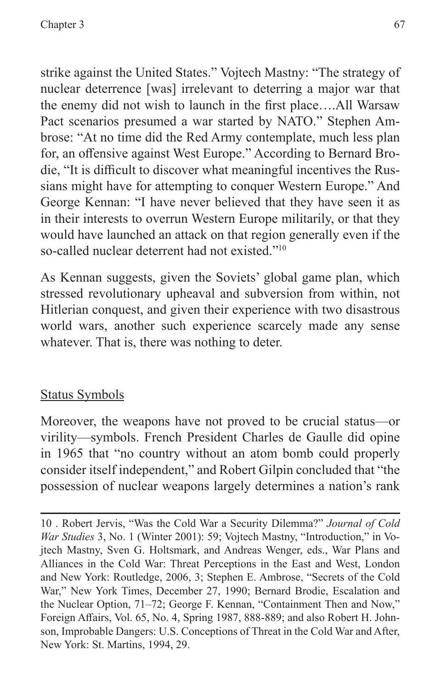strike against the United States." Vojtech Mastny: "The strategy of nuclear deterrence [was] irrelevant to deterring a major war that the enemy did not wish to launch in the first place….All Warsaw Pact scenarios presumed a war started by NATO." Stephen Ambrose: "At no time did the Red Army contemplate, much less plan for, an offensive against West Europe." According to Bernard Brodie, "It is difficult to discover what meaningful incentives the Russians might have for attempting to conquer Western Europe." And George Kennan: "I have never believed that they have seen it as in their interests to overrun Western Europe militarily, or that they would have launched an attack on that region generally even if the so-called nuclear deterrent had not existed."10

As Kennan suggests, given the Soviets' global game plan, which stressed revolutionary upheaval and subversion from within, not Hitlerian conquest, and given their experience with two disastrous world wars, another such experience scarcely made any sense whatever. That is, there was nothing to deter.

## Status Symbols

Moreover, the weapons have not proved to be crucial status—or virility—symbols. French President Charles de Gaulle did opine in 1965 that "no country without an atom bomb could properly consider itself independent," and Robert Gilpin concluded that "the possession of nuclear weapons largely determines a nation's rank

10 . Robert Jervis, "Was the Cold War a Security Dilemma?" *Journal of Cold War Studies* 3, No. 1 (Winter 2001): 59; Vojtech Mastny, "Introduction," in Vojtech Mastny, Sven G. Holtsmark, and Andreas Wenger, eds., War Plans and Alliances in the Cold War: Threat Perceptions in the East and West, London and New York: Routledge, 2006, 3; Stephen E. Ambrose, "Secrets of the Cold War," New York Times, December 27, 1990; Bernard Brodie, Escalation and the Nuclear Option, 71–72; George F. Kennan, "Containment Then and Now," Foreign Affairs, Vol. 65, No. 4, Spring 1987, 888-889; and also Robert H. Johnson, Improbable Dangers: U.S. Conceptions of Threat in the Cold War and After, New York: St. Martins, 1994, 29.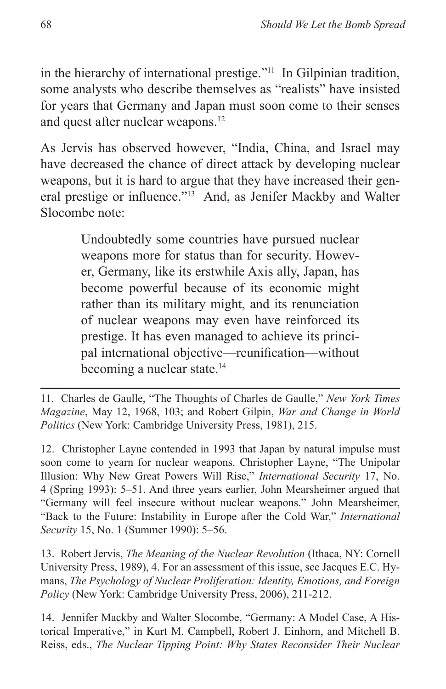in the hierarchy of international prestige."11 In Gilpinian tradition, some analysts who describe themselves as "realists" have insisted for years that Germany and Japan must soon come to their senses and quest after nuclear weapons.12

As Jervis has observed however, "India, China, and Israel may have decreased the chance of direct attack by developing nuclear weapons, but it is hard to argue that they have increased their general prestige or influence."13 And, as Jenifer Mackby and Walter Slocombe note:

> Undoubtedly some countries have pursued nuclear weapons more for status than for security. However, Germany, like its erstwhile Axis ally, Japan, has become powerful because of its economic might rather than its military might, and its renunciation of nuclear weapons may even have reinforced its prestige. It has even managed to achieve its principal international objective—reunification—without becoming a nuclear state.14

11. Charles de Gaulle, "The Thoughts of Charles de Gaulle," *New York Times Magazine*, May 12, 1968, 103; and Robert Gilpin, *War and Change in World Politics* (New York: Cambridge University Press, 1981), 215.

12. Christopher Layne contended in 1993 that Japan by natural impulse must soon come to yearn for nuclear weapons. Christopher Layne, "The Unipolar Illusion: Why New Great Powers Will Rise," *International Security* 17, No. 4 (Spring 1993): 5–51. And three years earlier, John Mearsheimer argued that "Germany will feel insecure without nuclear weapons." John Mearsheimer, "Back to the Future: Instability in Europe after the Cold War," *International Security* 15, No. 1 (Summer 1990): 5–56.

13. Robert Jervis, *The Meaning of the Nuclear Revolution* (Ithaca, NY: Cornell University Press, 1989), 4. For an assessment of this issue, see Jacques E.C. Hymans, *The Psychology of Nuclear Proliferation: Identity, Emotions, and Foreign Policy* (New York: Cambridge University Press, 2006), 211-212.

14. Jennifer Mackby and Walter Slocombe, "Germany: A Model Case, A Historical Imperative," in Kurt M. Campbell, Robert J. Einhorn, and Mitchell B. Reiss, eds., *The Nuclear Tipping Point: Why States Reconsider Their Nuclear*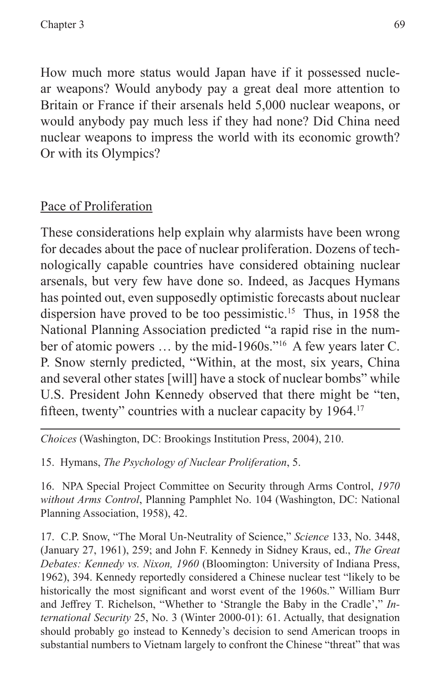How much more status would Japan have if it possessed nuclear weapons? Would anybody pay a great deal more attention to Britain or France if their arsenals held 5,000 nuclear weapons, or would anybody pay much less if they had none? Did China need nuclear weapons to impress the world with its economic growth? Or with its Olympics?

#### Pace of Proliferation

These considerations help explain why alarmists have been wrong for decades about the pace of nuclear proliferation. Dozens of technologically capable countries have considered obtaining nuclear arsenals, but very few have done so. Indeed, as Jacques Hymans has pointed out, even supposedly optimistic forecasts about nuclear dispersion have proved to be too pessimistic.15 Thus, in 1958 the National Planning Association predicted "a rapid rise in the number of atomic powers … by the mid-1960s."16 A few years later C. P. Snow sternly predicted, "Within, at the most, six years, China and several other states [will] have a stock of nuclear bombs" while U.S. President John Kennedy observed that there might be "ten, fifteen, twenty" countries with a nuclear capacity by 1964.<sup>17</sup>

*Choices* (Washington, DC: Brookings Institution Press, 2004), 210.

15. Hymans, *The Psychology of Nuclear Proliferation*, 5.

16. NPA Special Project Committee on Security through Arms Control, *1970 without Arms Control*, Planning Pamphlet No. 104 (Washington, DC: National Planning Association, 1958), 42.

17. C.P. Snow, "The Moral Un-Neutrality of Science," *Science* 133, No. 3448, (January 27, 1961), 259; and John F. Kennedy in Sidney Kraus, ed., *The Great Debates: Kennedy vs. Nixon, 1960* (Bloomington: University of Indiana Press, 1962), 394. Kennedy reportedly considered a Chinese nuclear test "likely to be historically the most significant and worst event of the 1960s." William Burr and Jeffrey T. Richelson, "Whether to 'Strangle the Baby in the Cradle'," *International Security* 25, No. 3 (Winter 2000-01): 61. Actually, that designation should probably go instead to Kennedy's decision to send American troops in substantial numbers to Vietnam largely to confront the Chinese "threat" that was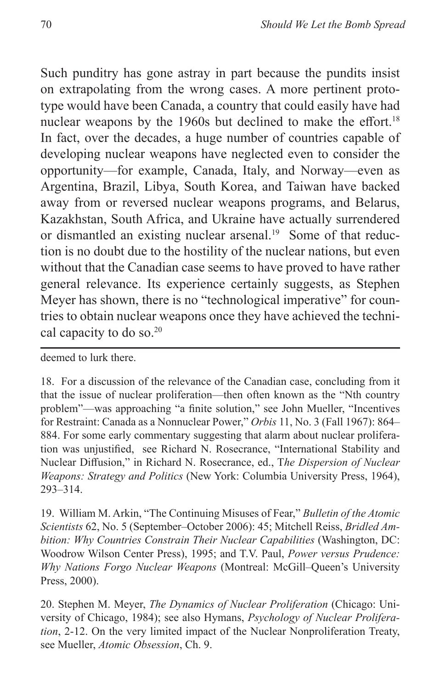Such punditry has gone astray in part because the pundits insist on extrapolating from the wrong cases. A more pertinent prototype would have been Canada, a country that could easily have had nuclear weapons by the 1960s but declined to make the effort.<sup>18</sup> In fact, over the decades, a huge number of countries capable of developing nuclear weapons have neglected even to consider the opportunity—for example, Canada, Italy, and Norway—even as Argentina, Brazil, Libya, South Korea, and Taiwan have backed away from or reversed nuclear weapons programs, and Belarus, Kazakhstan, South Africa, and Ukraine have actually surrendered or dismantled an existing nuclear arsenal.<sup>19</sup> Some of that reduction is no doubt due to the hostility of the nuclear nations, but even without that the Canadian case seems to have proved to have rather general relevance. Its experience certainly suggests, as Stephen Meyer has shown, there is no "technological imperative" for countries to obtain nuclear weapons once they have achieved the technical capacity to do so.<sup>20</sup>

deemed to lurk there.

18. For a discussion of the relevance of the Canadian case, concluding from it that the issue of nuclear proliferation—then often known as the "Nth country problem"—was approaching "a finite solution," see John Mueller, "Incentives for Restraint: Canada as a Nonnuclear Power," *Orbis* 11, No. 3 (Fall 1967): 864– 884. For some early commentary suggesting that alarm about nuclear proliferation was unjustified, see Richard N. Rosecrance, "International Stability and Nuclear Diffusion," in Richard N. Rosecrance, ed., T*he Dispersion of Nuclear Weapons: Strategy and Politics* (New York: Columbia University Press, 1964), 293–314.

19. William M. Arkin, "The Continuing Misuses of Fear," *Bulletin of the Atomic Scientists* 62, No. 5 (September–October 2006): 45; Mitchell Reiss, *Bridled Ambition: Why Countries Constrain Their Nuclear Capabilities* (Washington, DC: Woodrow Wilson Center Press), 1995; and T.V. Paul, *Power versus Prudence: Why Nations Forgo Nuclear Weapons* (Montreal: McGill–Queen's University Press, 2000).

20. Stephen M. Meyer, *The Dynamics of Nuclear Proliferation* (Chicago: University of Chicago, 1984); see also Hymans, *Psychology of Nuclear Proliferation*, 2-12. On the very limited impact of the Nuclear Nonproliferation Treaty, see Mueller, *Atomic Obsession*, Ch. 9.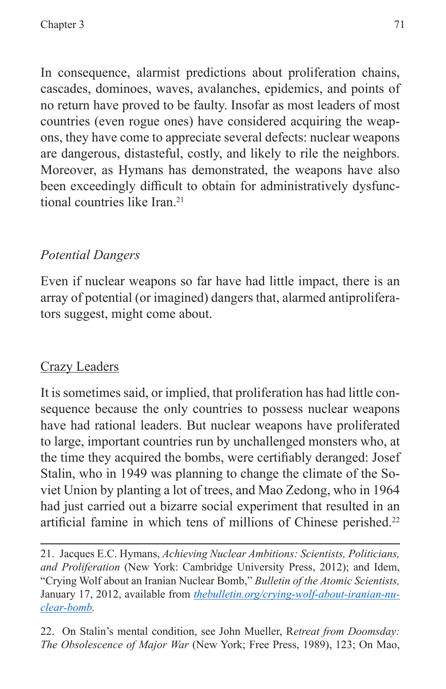In consequence, alarmist predictions about proliferation chains, cascades, dominoes, waves, avalanches, epidemics, and points of no return have proved to be faulty. Insofar as most leaders of most countries (even rogue ones) have considered acquiring the weapons, they have come to appreciate several defects: nuclear weapons are dangerous, distasteful, costly, and likely to rile the neighbors. Moreover, as Hymans has demonstrated, the weapons have also been exceedingly difficult to obtain for administratively dysfunctional countries like Iran.<sup>21</sup>

## *Potential Dangers*

Even if nuclear weapons so far have had little impact, there is an array of potential (or imagined) dangers that, alarmed antiproliferators suggest, might come about.

## Crazy Leaders

It is sometimes said, or implied, that proliferation has had little consequence because the only countries to possess nuclear weapons have had rational leaders. But nuclear weapons have proliferated to large, important countries run by unchallenged monsters who, at the time they acquired the bombs, were certifiably deranged: Josef Stalin, who in 1949 was planning to change the climate of the Soviet Union by planting a lot of trees, and Mao Zedong, who in 1964 had just carried out a bizarre social experiment that resulted in an artificial famine in which tens of millions of Chinese perished.<sup>22</sup>

22. On Stalin's mental condition, see John Mueller, R*etreat from Doomsday: The Obsolescence of Major War* (New York; Free Press, 1989), 123; On Mao,

<sup>21.</sup> Jacques E.C. Hymans, *Achieving Nuclear Ambitions: Scientists, Politicians, and Proliferation* (New York: Cambridge University Press, 2012); and Idem, "Crying Wolf about an Iranian Nuclear Bomb," *Bulletin of the Atomic Scientists,* January 17, 2012, available from *[thebulletin.org/crying-wolf-about-iranian-nu](thebulletin.org/crying-wolf-about-iranian-nuclear-bomb)[clear-bomb.](thebulletin.org/crying-wolf-about-iranian-nuclear-bomb)*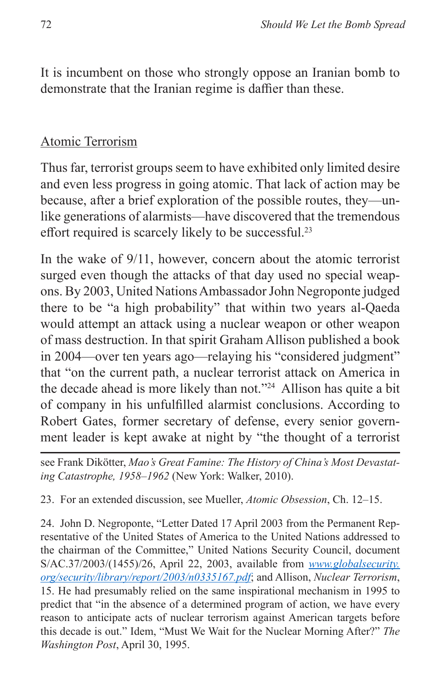It is incumbent on those who strongly oppose an Iranian bomb to demonstrate that the Iranian regime is daffier than these.

#### Atomic Terrorism

Thus far, terrorist groups seem to have exhibited only limited desire and even less progress in going atomic. That lack of action may be because, after a brief exploration of the possible routes, they—unlike generations of alarmists—have discovered that the tremendous effort required is scarcely likely to be successful.<sup>23</sup>

In the wake of 9/11, however, concern about the atomic terrorist surged even though the attacks of that day used no special weapons. By 2003, United Nations Ambassador John Negroponte judged there to be "a high probability" that within two years al-Qaeda would attempt an attack using a nuclear weapon or other weapon of mass destruction. In that spirit Graham Allison published a book in 2004—over ten years ago—relaying his "considered judgment" that "on the current path, a nuclear terrorist attack on America in the decade ahead is more likely than not."24 Allison has quite a bit of company in his unfulfilled alarmist conclusions. According to Robert Gates, former secretary of defense, every senior government leader is kept awake at night by "the thought of a terrorist

see Frank Dikötter, *Mao's Great Famine: The History of China's Most Devastating Catastrophe, 1958–1962* (New York: Walker, 2010).

23. For an extended discussion, see Mueller, *Atomic Obsession*, Ch. 12–15.

24. John D. Negroponte, "Letter Dated 17 April 2003 from the Permanent Representative of the United States of America to the United Nations addressed to the chairman of the Committee," United Nations Security Council, document S/AC.37/2003/(1455)/26, April 22, 2003, available from *[www.globalsecurity.](www.globalsecurity.org/security/library/report/2003/n0335167.pdf) [org/security/library/report/2003/n0335167.pdf](www.globalsecurity.org/security/library/report/2003/n0335167.pdf)*; and Allison, *Nuclear Terrorism*, 15. He had presumably relied on the same inspirational mechanism in 1995 to predict that "in the absence of a determined program of action, we have every reason to anticipate acts of nuclear terrorism against American targets before this decade is out." Idem, "Must We Wait for the Nuclear Morning After?" *The Washington Post*, April 30, 1995.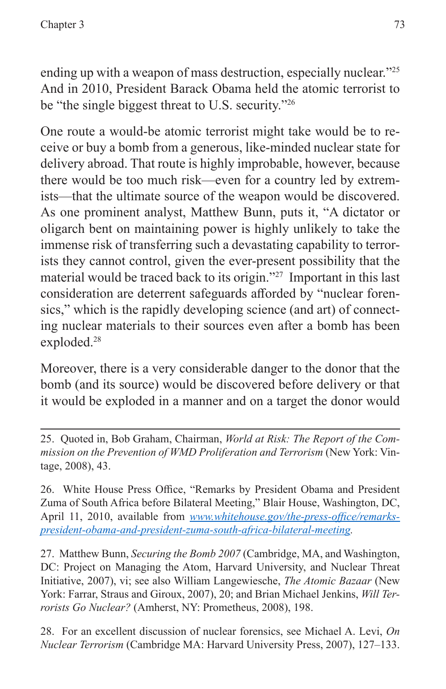ending up with a weapon of mass destruction, especially nuclear."<sup>25</sup> And in 2010, President Barack Obama held the atomic terrorist to be "the single biggest threat to U.S. security."26

One route a would-be atomic terrorist might take would be to receive or buy a bomb from a generous, like-minded nuclear state for delivery abroad. That route is highly improbable, however, because there would be too much risk—even for a country led by extremists—that the ultimate source of the weapon would be discovered. As one prominent analyst, Matthew Bunn, puts it, "A dictator or oligarch bent on maintaining power is highly unlikely to take the immense risk of transferring such a devastating capability to terrorists they cannot control, given the ever-present possibility that the material would be traced back to its origin."27 Important in this last consideration are deterrent safeguards afforded by "nuclear forensics," which is the rapidly developing science (and art) of connecting nuclear materials to their sources even after a bomb has been exploded.<sup>28</sup>

Moreover, there is a very considerable danger to the donor that the bomb (and its source) would be discovered before delivery or that it would be exploded in a manner and on a target the donor would

27. Matthew Bunn, *Securing the Bomb 2007* (Cambridge, MA, and Washington, DC: Project on Managing the Atom, Harvard University, and Nuclear Threat Initiative, 2007), vi; see also William Langewiesche, *The Atomic Bazaar* (New York: Farrar, Straus and Giroux, 2007), 20; and Brian Michael Jenkins, *Will Terrorists Go Nuclear?* (Amherst, NY: Prometheus, 2008), 198.

28. For an excellent discussion of nuclear forensics, see Michael A. Levi, *On Nuclear Terrorism* (Cambridge MA: Harvard University Press, 2007), 127–133.

<sup>25.</sup> Quoted in, Bob Graham, Chairman, *World at Risk: The Report of the Commission on the Prevention of WMD Proliferation and Terrorism* (New York: Vintage, 2008), 43.

<sup>26.</sup> White House Press Office, "Remarks by President Obama and President Zuma of South Africa before Bilateral Meeting," Blair House, Washington, DC, April 11, 2010, available from *[www.whitehouse.gov/the-press-office/remarks](www.whitehouse.gov/the-press-office/remarks-president-obama-and-president-zuma-south-africa-bilateral-meeting)[president-obama-and-president-zuma-south-africa-bilateral-meeting](www.whitehouse.gov/the-press-office/remarks-president-obama-and-president-zuma-south-africa-bilateral-meeting).*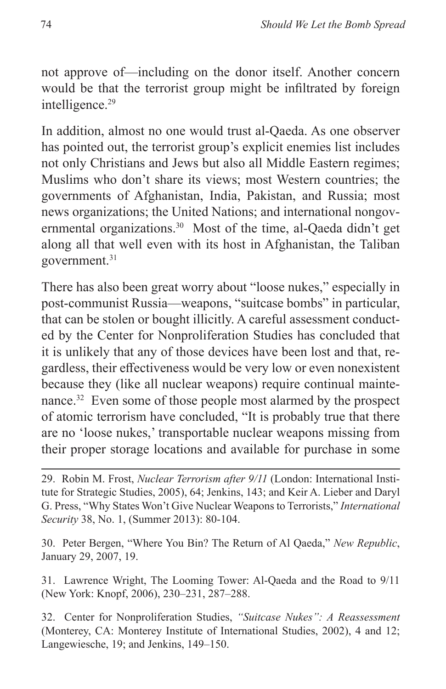not approve of—including on the donor itself. Another concern would be that the terrorist group might be infiltrated by foreign intelligence.<sup>29</sup>

In addition, almost no one would trust al-Qaeda. As one observer has pointed out, the terrorist group's explicit enemies list includes not only Christians and Jews but also all Middle Eastern regimes; Muslims who don't share its views; most Western countries; the governments of Afghanistan, India, Pakistan, and Russia; most news organizations; the United Nations; and international nongovernmental organizations.<sup>30</sup> Most of the time, al-Qaeda didn't get along all that well even with its host in Afghanistan, the Taliban government.<sup>31</sup>

There has also been great worry about "loose nukes," especially in post-communist Russia—weapons, "suitcase bombs" in particular, that can be stolen or bought illicitly. A careful assessment conducted by the Center for Nonproliferation Studies has concluded that it is unlikely that any of those devices have been lost and that, regardless, their effectiveness would be very low or even nonexistent because they (like all nuclear weapons) require continual maintenance.<sup>32</sup> Even some of those people most alarmed by the prospect of atomic terrorism have concluded, "It is probably true that there are no 'loose nukes,' transportable nuclear weapons missing from their proper storage locations and available for purchase in some

29. Robin M. Frost, *Nuclear Terrorism after 9/11* (London: International Institute for Strategic Studies, 2005), 64; Jenkins, 143; and Keir A. Lieber and Daryl G. Press, "Why States Won't Give Nuclear Weapons to Terrorists," *International Security* 38, No. 1, (Summer 2013): 80-104.

30. Peter Bergen, "Where You Bin? The Return of Al Qaeda," *New Republic*, January 29, 2007, 19.

31. Lawrence Wright, The Looming Tower: Al-Qaeda and the Road to 9/11 (New York: Knopf, 2006), 230–231, 287–288.

32. Center for Nonproliferation Studies, *"Suitcase Nukes": A Reassessment* (Monterey, CA: Monterey Institute of International Studies, 2002), 4 and 12; Langewiesche, 19; and Jenkins, 149–150.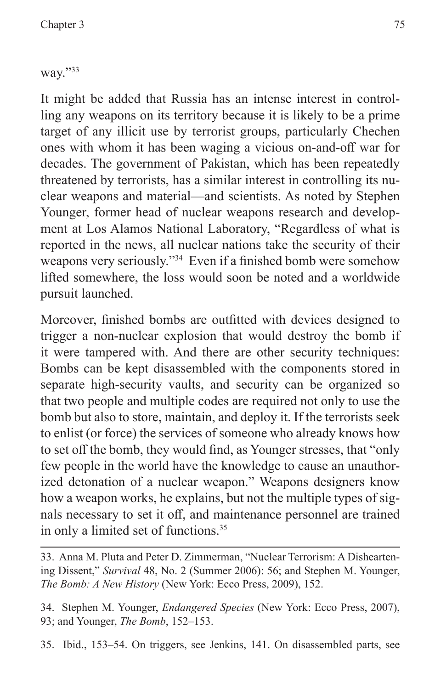way."33

It might be added that Russia has an intense interest in controlling any weapons on its territory because it is likely to be a prime target of any illicit use by terrorist groups, particularly Chechen ones with whom it has been waging a vicious on-and-off war for decades. The government of Pakistan, which has been repeatedly threatened by terrorists, has a similar interest in controlling its nuclear weapons and material—and scientists. As noted by Stephen Younger, former head of nuclear weapons research and development at Los Alamos National Laboratory, "Regardless of what is reported in the news, all nuclear nations take the security of their weapons very seriously."34 Even if a finished bomb were somehow lifted somewhere, the loss would soon be noted and a worldwide pursuit launched.

Moreover, finished bombs are outfitted with devices designed to trigger a non-nuclear explosion that would destroy the bomb if it were tampered with. And there are other security techniques: Bombs can be kept disassembled with the components stored in separate high-security vaults, and security can be organized so that two people and multiple codes are required not only to use the bomb but also to store, maintain, and deploy it. If the terrorists seek to enlist (or force) the services of someone who already knows how to set off the bomb, they would find, as Younger stresses, that "only few people in the world have the knowledge to cause an unauthorized detonation of a nuclear weapon." Weapons designers know how a weapon works, he explains, but not the multiple types of signals necessary to set it off, and maintenance personnel are trained in only a limited set of functions.<sup>35</sup>

34. Stephen M. Younger, *Endangered Species* (New York: Ecco Press, 2007), 93; and Younger, *The Bomb*, 152–153.

35. Ibid., 153–54. On triggers, see Jenkins, 141. On disassembled parts, see

<sup>33.</sup> Anna M. Pluta and Peter D. Zimmerman, "Nuclear Terrorism: A Disheartening Dissent," *Survival* 48, No. 2 (Summer 2006): 56; and Stephen M. Younger, *The Bomb: A New History* (New York: Ecco Press, 2009), 152.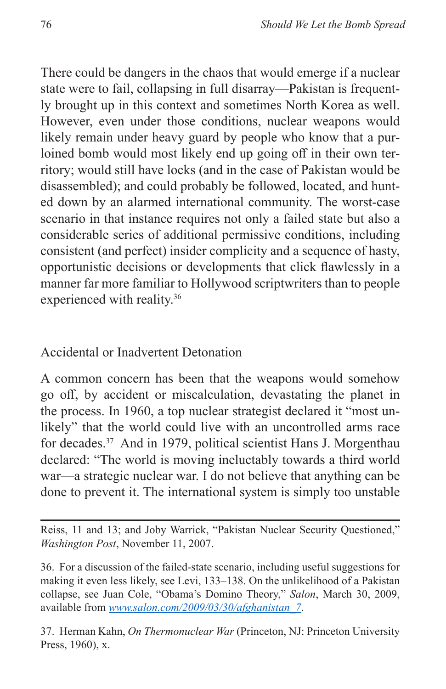There could be dangers in the chaos that would emerge if a nuclear state were to fail, collapsing in full disarray—Pakistan is frequently brought up in this context and sometimes North Korea as well. However, even under those conditions, nuclear weapons would likely remain under heavy guard by people who know that a purloined bomb would most likely end up going off in their own territory; would still have locks (and in the case of Pakistan would be disassembled); and could probably be followed, located, and hunted down by an alarmed international community. The worst-case scenario in that instance requires not only a failed state but also a considerable series of additional permissive conditions, including consistent (and perfect) insider complicity and a sequence of hasty, opportunistic decisions or developments that click flawlessly in a manner far more familiar to Hollywood scriptwriters than to people experienced with reality.36

#### Accidental or Inadvertent Detonation

A common concern has been that the weapons would somehow go off, by accident or miscalculation, devastating the planet in the process. In 1960, a top nuclear strategist declared it "most unlikely" that the world could live with an uncontrolled arms race for decades.37 And in 1979, political scientist Hans J. Morgenthau declared: "The world is moving ineluctably towards a third world war—a strategic nuclear war. I do not believe that anything can be done to prevent it. The international system is simply too unstable

Reiss, 11 and 13; and Joby Warrick, "Pakistan Nuclear Security Questioned," *Washington Post*, November 11, 2007.

36. For a discussion of the failed-state scenario, including useful suggestions for making it even less likely, see Levi, 133–138. On the unlikelihood of a Pakistan collapse, see Juan Cole, "Obama's Domino Theory," *Salon*, March 30, 2009, available from *[www.salon.com/2009/03/30/afghanistan\\_7](www.salon.com/2009/03/30/afghanistan_7)*.

37. Herman Kahn, *On Thermonuclear War* (Princeton, NJ: Princeton University Press, 1960), x.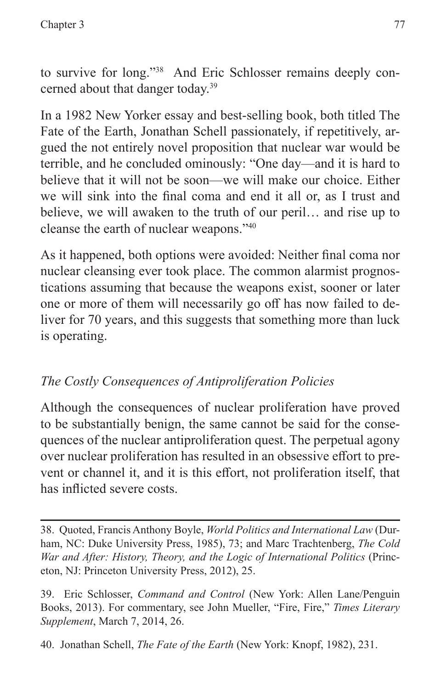to survive for long."38 And Eric Schlosser remains deeply concerned about that danger today.39

In a 1982 New Yorker essay and best-selling book, both titled The Fate of the Earth, Jonathan Schell passionately, if repetitively, argued the not entirely novel proposition that nuclear war would be terrible, and he concluded ominously: "One day—and it is hard to believe that it will not be soon—we will make our choice. Either we will sink into the final coma and end it all or, as I trust and believe, we will awaken to the truth of our peril… and rise up to cleanse the earth of nuclear weapons."40

As it happened, both options were avoided: Neither final coma nor nuclear cleansing ever took place. The common alarmist prognostications assuming that because the weapons exist, sooner or later one or more of them will necessarily go off has now failed to deliver for 70 years, and this suggests that something more than luck is operating.

## *The Costly Consequences of Antiproliferation Policies*

Although the consequences of nuclear proliferation have proved to be substantially benign, the same cannot be said for the consequences of the nuclear antiproliferation quest. The perpetual agony over nuclear proliferation has resulted in an obsessive effort to prevent or channel it, and it is this effort, not proliferation itself, that has inflicted severe costs.

38. Quoted, Francis Anthony Boyle, *World Politics and International Law* (Durham, NC: Duke University Press, 1985), 73; and Marc Trachtenberg, *The Cold War and After: History, Theory, and the Logic of International Politics* (Princeton, NJ: Princeton University Press, 2012), 25.

39. Eric Schlosser, *Command and Control* (New York: Allen Lane/Penguin Books, 2013). For commentary, see John Mueller, "Fire, Fire," *Times Literary Supplement*, March 7, 2014, 26.

40. Jonathan Schell, *The Fate of the Earth* (New York: Knopf, 1982), 231.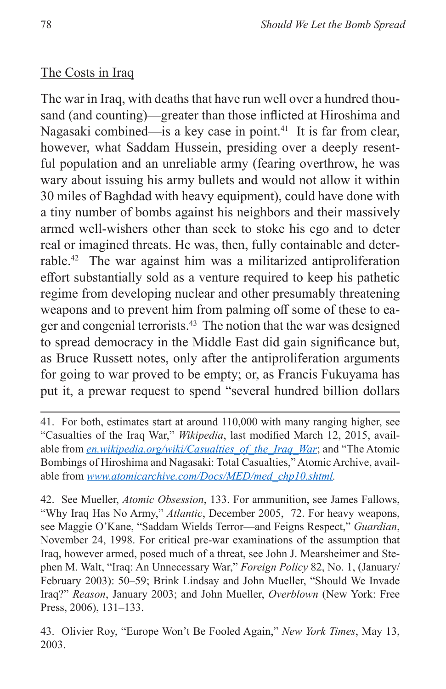#### The Costs in Iraq

The war in Iraq, with deaths that have run well over a hundred thousand (and counting)—greater than those inflicted at Hiroshima and Nagasaki combined—is a key case in point.<sup>41</sup> It is far from clear, however, what Saddam Hussein, presiding over a deeply resentful population and an unreliable army (fearing overthrow, he was wary about issuing his army bullets and would not allow it within 30 miles of Baghdad with heavy equipment), could have done with a tiny number of bombs against his neighbors and their massively armed well-wishers other than seek to stoke his ego and to deter real or imagined threats. He was, then, fully containable and deterrable.42 The war against him was a militarized antiproliferation effort substantially sold as a venture required to keep his pathetic regime from developing nuclear and other presumably threatening weapons and to prevent him from palming off some of these to eager and congenial terrorists.<sup>43</sup> The notion that the war was designed to spread democracy in the Middle East did gain significance but, as Bruce Russett notes, only after the antiproliferation arguments for going to war proved to be empty; or, as Francis Fukuyama has put it, a prewar request to spend "several hundred billion dollars

42. See Mueller, *Atomic Obsession*, 133. For ammunition, see James Fallows, "Why Iraq Has No Army," *Atlantic*, December 2005, 72. For heavy weapons, see Maggie O'Kane, "Saddam Wields Terror—and Feigns Respect," *Guardian*, November 24, 1998. For critical pre-war examinations of the assumption that Iraq, however armed, posed much of a threat, see John J. Mearsheimer and Stephen M. Walt, "Iraq: An Unnecessary War," *Foreign Policy* 82, No. 1, (January/ February 2003): 50–59; Brink Lindsay and John Mueller, "Should We Invade Iraq?" *Reason*, January 2003; and John Mueller, *Overblown* (New York: Free Press, 2006), 131–133.

43. Olivier Roy, "Europe Won't Be Fooled Again," *New York Times*, May 13, 2003.

<sup>41.</sup> For both, estimates start at around 110,000 with many ranging higher, see "Casualties of the Iraq War," *Wikipedia*, last modified March 12, 2015, available from *en.wikipedia.org/wiki/Casualties\_of\_the\_Iraq\_War*; and "The Atomic Bombings of Hiroshima and Nagasaki: Total Casualties," Atomic Archive, available from *[www.atomicarchive.com/Docs/MED/med\\_chp10.shtml.](en.wikipedia.org/wiki/Casualties_of_the_Iraq_War)*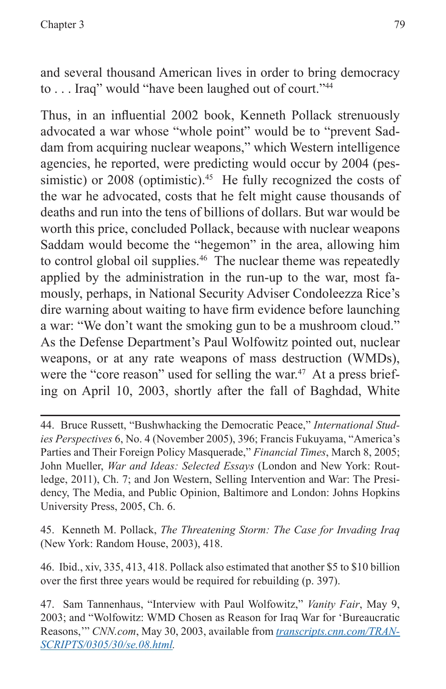and several thousand American lives in order to bring democracy to . . . Iraq" would "have been laughed out of court."44

Thus, in an influential 2002 book, Kenneth Pollack strenuously advocated a war whose "whole point" would be to "prevent Saddam from acquiring nuclear weapons," which Western intelligence agencies, he reported, were predicting would occur by 2004 (pessimistic) or  $2008$  (optimistic).<sup>45</sup> He fully recognized the costs of the war he advocated, costs that he felt might cause thousands of deaths and run into the tens of billions of dollars. But war would be worth this price, concluded Pollack, because with nuclear weapons Saddam would become the "hegemon" in the area, allowing him to control global oil supplies.<sup>46</sup> The nuclear theme was repeatedly applied by the administration in the run-up to the war, most famously, perhaps, in National Security Adviser Condoleezza Rice's dire warning about waiting to have firm evidence before launching a war: "We don't want the smoking gun to be a mushroom cloud." As the Defense Department's Paul Wolfowitz pointed out, nuclear weapons, or at any rate weapons of mass destruction (WMDs), were the "core reason" used for selling the war.<sup>47</sup> At a press briefing on April 10, 2003, shortly after the fall of Baghdad, White

45. Kenneth M. Pollack, *The Threatening Storm: The Case for Invading Iraq* (New York: Random House, 2003), 418.

46. Ibid., xiv, 335, 413, 418. Pollack also estimated that another \$5 to \$10 billion over the first three years would be required for rebuilding (p. 397).

<sup>44.</sup> Bruce Russett, "Bushwhacking the Democratic Peace," *International Studies Perspectives* 6, No. 4 (November 2005), 396; Francis Fukuyama, "America's Parties and Their Foreign Policy Masquerade," *Financial Times*, March 8, 2005; John Mueller, *War and Ideas: Selected Essays* (London and New York: Routledge, 2011), Ch. 7; and Jon Western, Selling Intervention and War: The Presidency, The Media, and Public Opinion, Baltimore and London: Johns Hopkins University Press, 2005, Ch. 6.

<sup>47.</sup> Sam Tannenhaus, "Interview with Paul Wolfowitz," *Vanity Fair*, May 9, 2003; and "Wolfowitz: WMD Chosen as Reason for Iraq War for 'Bureaucratic Reasons,'" *CNN.com*, May 30, 2003, available from *[transcripts.cnn.com/TRAN-](transcripts.cnn.com/TRANSCRIPTS/0305/30/se.08.html)[SCRIPTS/0305/30/se.08.html](transcripts.cnn.com/TRANSCRIPTS/0305/30/se.08.html).*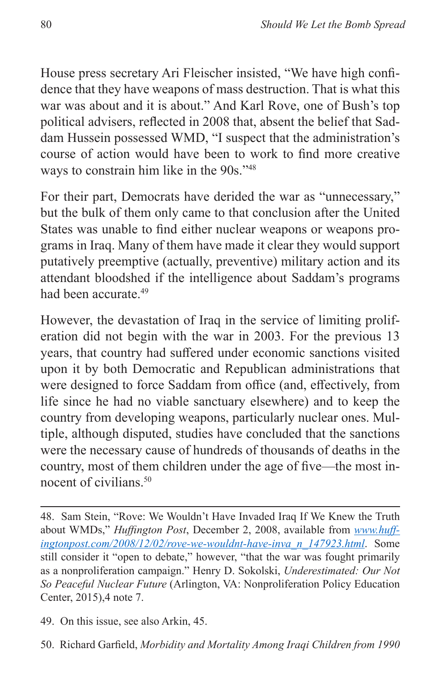House press secretary Ari Fleischer insisted, "We have high confidence that they have weapons of mass destruction. That is what this war was about and it is about." And Karl Rove, one of Bush's top political advisers, reflected in 2008 that, absent the belief that Saddam Hussein possessed WMD, "I suspect that the administration's course of action would have been to work to find more creative ways to constrain him like in the 90s."48

For their part, Democrats have derided the war as "unnecessary," but the bulk of them only came to that conclusion after the United States was unable to find either nuclear weapons or weapons programs in Iraq. Many of them have made it clear they would support putatively preemptive (actually, preventive) military action and its attendant bloodshed if the intelligence about Saddam's programs had been accurate.49

However, the devastation of Iraq in the service of limiting proliferation did not begin with the war in 2003. For the previous 13 years, that country had suffered under economic sanctions visited upon it by both Democratic and Republican administrations that were designed to force Saddam from office (and, effectively, from life since he had no viable sanctuary elsewhere) and to keep the country from developing weapons, particularly nuclear ones. Multiple, although disputed, studies have concluded that the sanctions were the necessary cause of hundreds of thousands of deaths in the country, most of them children under the age of five—the most innocent of civilians.50

49. On this issue, see also Arkin, 45.

<sup>48.</sup> Sam Stein, "Rove: We Wouldn't Have Invaded Iraq If We Knew the Truth about WMDs," *Huffington Post*, December 2, 2008, available from *[www.huff](www.huffingtonpost.com/2008/12/02/rove-we-wouldnt-have-inva_n_147923.html)[ingtonpost.com/2008/12/02/rove-we-wouldnt-have-inva\\_n\\_147923.html](www.huffingtonpost.com/2008/12/02/rove-we-wouldnt-have-inva_n_147923.html)*. Some still consider it "open to debate," however, "that the war was fought primarily as a nonproliferation campaign." Henry D. Sokolski, *Underestimated: Our Not So Peaceful Nuclear Future* (Arlington, VA: Nonproliferation Policy Education Center, 2015),4 note 7.

<sup>50.</sup> Richard Garfield, *Morbidity and Mortality Among Iraqi Children from 1990*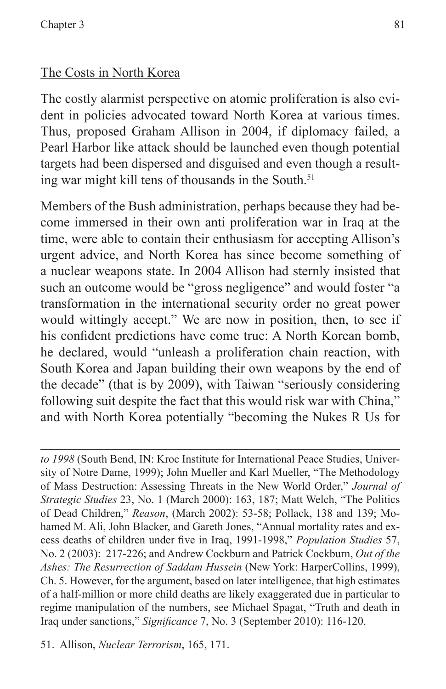## The Costs in North Korea

The costly alarmist perspective on atomic proliferation is also evident in policies advocated toward North Korea at various times. Thus, proposed Graham Allison in 2004, if diplomacy failed, a Pearl Harbor like attack should be launched even though potential targets had been dispersed and disguised and even though a resulting war might kill tens of thousands in the South.<sup>51</sup>

Members of the Bush administration, perhaps because they had become immersed in their own anti proliferation war in Iraq at the time, were able to contain their enthusiasm for accepting Allison's urgent advice, and North Korea has since become something of a nuclear weapons state. In 2004 Allison had sternly insisted that such an outcome would be "gross negligence" and would foster "a transformation in the international security order no great power would wittingly accept." We are now in position, then, to see if his confident predictions have come true: A North Korean bomb, he declared, would "unleash a proliferation chain reaction, with South Korea and Japan building their own weapons by the end of the decade" (that is by 2009), with Taiwan "seriously considering following suit despite the fact that this would risk war with China," and with North Korea potentially "becoming the Nukes R Us for

*to 1998* (South Bend, IN: Kroc Institute for International Peace Studies, University of Notre Dame, 1999); John Mueller and Karl Mueller, "The Methodology of Mass Destruction: Assessing Threats in the New World Order," *Journal of Strategic Studies* 23, No. 1 (March 2000): 163, 187; Matt Welch, "The Politics of Dead Children," *Reason*, (March 2002): 53-58; Pollack, 138 and 139; Mohamed M. Ali, John Blacker, and Gareth Jones, "Annual mortality rates and excess deaths of children under five in Iraq, 1991-1998," *Population Studies* 57, No. 2 (2003): 217-226; and Andrew Cockburn and Patrick Cockburn, *Out of the Ashes: The Resurrection of Saddam Hussein* (New York: HarperCollins, 1999), Ch. 5. However, for the argument, based on later intelligence, that high estimates of a half-million or more child deaths are likely exaggerated due in particular to regime manipulation of the numbers, see Michael Spagat, "Truth and death in Iraq under sanctions," *Significance* 7, No. 3 (September 2010): 116-120.

<sup>51.</sup> Allison, *Nuclear Terrorism*, 165, 171.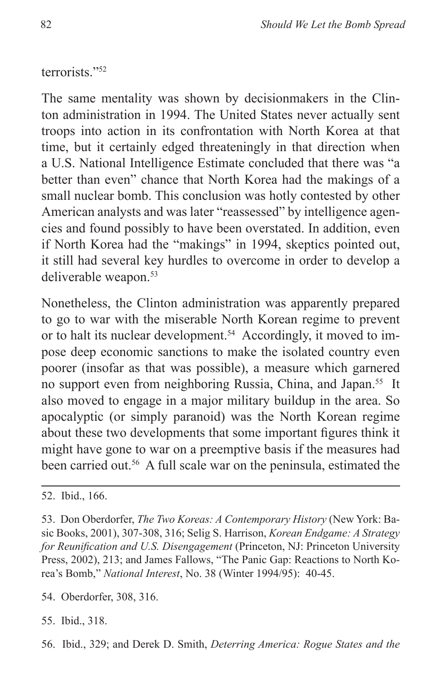terrorists."52

The same mentality was shown by decisionmakers in the Clinton administration in 1994. The United States never actually sent troops into action in its confrontation with North Korea at that time, but it certainly edged threateningly in that direction when a U.S. National Intelligence Estimate concluded that there was "a better than even" chance that North Korea had the makings of a small nuclear bomb. This conclusion was hotly contested by other American analysts and was later "reassessed" by intelligence agencies and found possibly to have been overstated. In addition, even if North Korea had the "makings" in 1994, skeptics pointed out, it still had several key hurdles to overcome in order to develop a deliverable weapon.53

Nonetheless, the Clinton administration was apparently prepared to go to war with the miserable North Korean regime to prevent or to halt its nuclear development.<sup>54</sup> Accordingly, it moved to impose deep economic sanctions to make the isolated country even poorer (insofar as that was possible), a measure which garnered no support even from neighboring Russia, China, and Japan.<sup>55</sup> It also moved to engage in a major military buildup in the area. So apocalyptic (or simply paranoid) was the North Korean regime about these two developments that some important figures think it might have gone to war on a preemptive basis if the measures had been carried out.<sup>56</sup> A full scale war on the peninsula, estimated the

53. Don Oberdorfer, *The Two Koreas: A Contemporary History* (New York: Basic Books, 2001), 307-308, 316; Selig S. Harrison, *Korean Endgame: A Strategy for Reunification and U.S. Disengagement* (Princeton, NJ: Princeton University Press, 2002), 213; and James Fallows, "The Panic Gap: Reactions to North Korea's Bomb," *National Interest*, No. 38 (Winter 1994/95): 40-45.

54. Oberdorfer, 308, 316.

55. Ibid., 318.

56. Ibid., 329; and Derek D. Smith, *Deterring America: Rogue States and the* 

<sup>52.</sup> Ibid., 166.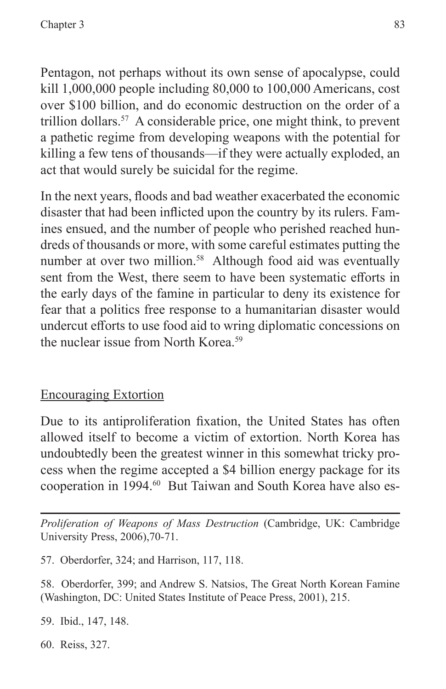Pentagon, not perhaps without its own sense of apocalypse, could kill 1,000,000 people including 80,000 to 100,000 Americans, cost over \$100 billion, and do economic destruction on the order of a trillion dollars.<sup>57</sup> A considerable price, one might think, to prevent a pathetic regime from developing weapons with the potential for killing a few tens of thousands—if they were actually exploded, an act that would surely be suicidal for the regime.

In the next years, floods and bad weather exacerbated the economic disaster that had been inflicted upon the country by its rulers. Famines ensued, and the number of people who perished reached hundreds of thousands or more, with some careful estimates putting the number at over two million.<sup>58</sup> Although food aid was eventually sent from the West, there seem to have been systematic efforts in the early days of the famine in particular to deny its existence for fear that a politics free response to a humanitarian disaster would undercut efforts to use food aid to wring diplomatic concessions on the nuclear issue from North Korea.<sup>59</sup>

## Encouraging Extortion

Due to its antiproliferation fixation, the United States has often allowed itself to become a victim of extortion. North Korea has undoubtedly been the greatest winner in this somewhat tricky process when the regime accepted a \$4 billion energy package for its cooperation in 1994.60 But Taiwan and South Korea have also es-

*Proliferation of Weapons of Mass Destruction* (Cambridge, UK: Cambridge University Press, 2006),70-71.

57. Oberdorfer, 324; and Harrison, 117, 118.

58. Oberdorfer, 399; and Andrew S. Natsios, The Great North Korean Famine (Washington, DC: United States Institute of Peace Press, 2001), 215.

59. Ibid., 147, 148.

60. Reiss, 327.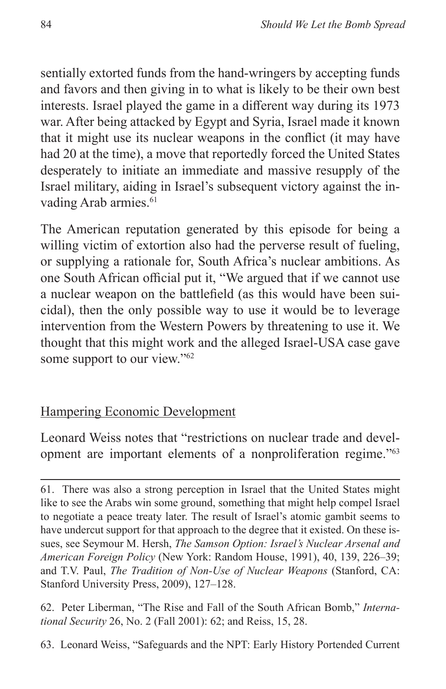sentially extorted funds from the hand-wringers by accepting funds and favors and then giving in to what is likely to be their own best interests. Israel played the game in a different way during its 1973 war. After being attacked by Egypt and Syria, Israel made it known that it might use its nuclear weapons in the conflict (it may have had 20 at the time), a move that reportedly forced the United States desperately to initiate an immediate and massive resupply of the Israel military, aiding in Israel's subsequent victory against the invading Arab armies.<sup>61</sup>

The American reputation generated by this episode for being a willing victim of extortion also had the perverse result of fueling, or supplying a rationale for, South Africa's nuclear ambitions. As one South African official put it, "We argued that if we cannot use a nuclear weapon on the battlefield (as this would have been suicidal), then the only possible way to use it would be to leverage intervention from the Western Powers by threatening to use it. We thought that this might work and the alleged Israel-USA case gave some support to our view."<sup>62</sup>

#### Hampering Economic Development

Leonard Weiss notes that "restrictions on nuclear trade and development are important elements of a nonproliferation regime."63

63. Leonard Weiss, "Safeguards and the NPT: Early History Portended Current

<sup>61.</sup> There was also a strong perception in Israel that the United States might like to see the Arabs win some ground, something that might help compel Israel to negotiate a peace treaty later. The result of Israel's atomic gambit seems to have undercut support for that approach to the degree that it existed. On these issues, see Seymour M. Hersh, *The Samson Option: Israel's Nuclear Arsenal and American Foreign Policy* (New York: Random House, 1991), 40, 139, 226–39; and T.V. Paul, *The Tradition of Non-Use of Nuclear Weapons* (Stanford, CA: Stanford University Press, 2009), 127–128.

<sup>62.</sup> Peter Liberman, "The Rise and Fall of the South African Bomb," *International Security* 26, No. 2 (Fall 2001): 62; and Reiss, 15, 28.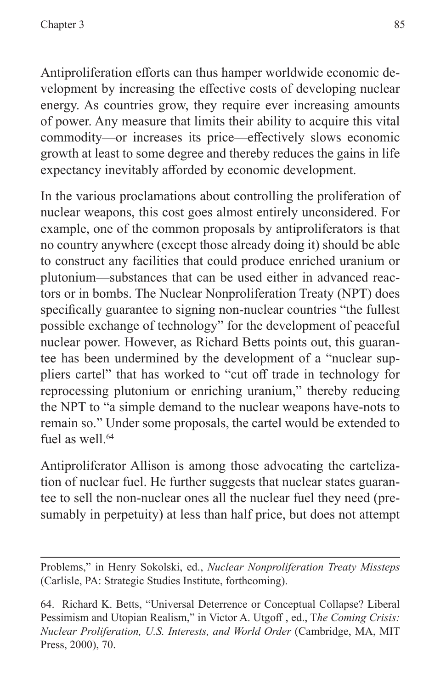Antiproliferation efforts can thus hamper worldwide economic development by increasing the effective costs of developing nuclear energy. As countries grow, they require ever increasing amounts of power. Any measure that limits their ability to acquire this vital commodity—or increases its price—effectively slows economic growth at least to some degree and thereby reduces the gains in life expectancy inevitably afforded by economic development.

In the various proclamations about controlling the proliferation of nuclear weapons, this cost goes almost entirely unconsidered. For example, one of the common proposals by antiproliferators is that no country anywhere (except those already doing it) should be able to construct any facilities that could produce enriched uranium or plutonium—substances that can be used either in advanced reactors or in bombs. The Nuclear Nonproliferation Treaty (NPT) does specifically guarantee to signing non-nuclear countries "the fullest possible exchange of technology" for the development of peaceful nuclear power. However, as Richard Betts points out, this guarantee has been undermined by the development of a "nuclear suppliers cartel" that has worked to "cut off trade in technology for reprocessing plutonium or enriching uranium," thereby reducing the NPT to "a simple demand to the nuclear weapons have-nots to remain so." Under some proposals, the cartel would be extended to fuel as well.<sup>64</sup>

Antiproliferator Allison is among those advocating the cartelization of nuclear fuel. He further suggests that nuclear states guarantee to sell the non-nuclear ones all the nuclear fuel they need (presumably in perpetuity) at less than half price, but does not attempt

Problems," in Henry Sokolski, ed., *Nuclear Nonproliferation Treaty Missteps* (Carlisle, PA: Strategic Studies Institute, forthcoming).

<sup>64.</sup> Richard K. Betts, "Universal Deterrence or Conceptual Collapse? Liberal Pessimism and Utopian Realism," in Victor A. Utgoff , ed., T*he Coming Crisis: Nuclear Proliferation, U.S. Interests, and World Order* (Cambridge, MA, MIT Press, 2000), 70.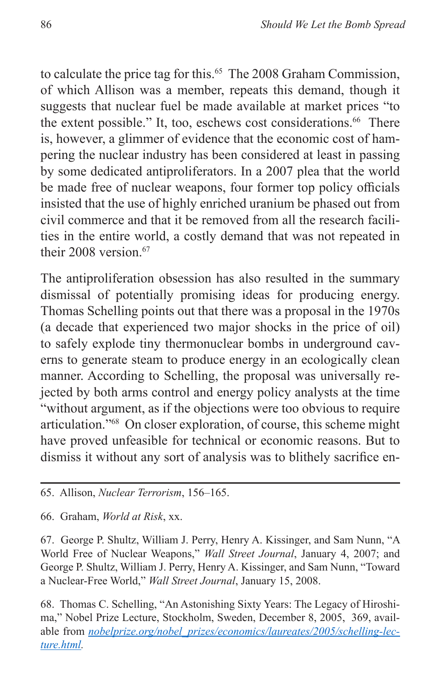to calculate the price tag for this.<sup>65</sup> The 2008 Graham Commission, of which Allison was a member, repeats this demand, though it suggests that nuclear fuel be made available at market prices "to the extent possible." It, too, eschews cost considerations.<sup>66</sup> There is, however, a glimmer of evidence that the economic cost of hampering the nuclear industry has been considered at least in passing by some dedicated antiproliferators. In a 2007 plea that the world be made free of nuclear weapons, four former top policy officials insisted that the use of highly enriched uranium be phased out from civil commerce and that it be removed from all the research facilities in the entire world, a costly demand that was not repeated in their 2008 version.<sup>67</sup>

The antiproliferation obsession has also resulted in the summary dismissal of potentially promising ideas for producing energy. Thomas Schelling points out that there was a proposal in the 1970s (a decade that experienced two major shocks in the price of oil) to safely explode tiny thermonuclear bombs in underground caverns to generate steam to produce energy in an ecologically clean manner. According to Schelling, the proposal was universally rejected by both arms control and energy policy analysts at the time "without argument, as if the objections were too obvious to require articulation."68 On closer exploration, of course, this scheme might have proved unfeasible for technical or economic reasons. But to dismiss it without any sort of analysis was to blithely sacrifice en-

66. Graham, *World at Risk*, xx.

67. George P. Shultz, William J. Perry, Henry A. Kissinger, and Sam Nunn, "A World Free of Nuclear Weapons," *Wall Street Journal*, January 4, 2007; and George P. Shultz, William J. Perry, Henry A. Kissinger, and Sam Nunn, "Toward a Nuclear-Free World," *Wall Street Journal*, January 15, 2008.

68. Thomas C. Schelling, "An Astonishing Sixty Years: The Legacy of Hiroshima," Nobel Prize Lecture, Stockholm, Sweden, December 8, 2005, 369, available from *[nobelprize.org/nobel\\_prizes/economics/laureates/2005/schelling-lec](nobelprize.org/nobel_prizes/economics/laureates/2005/schelling-lecture.html)[ture.html](nobelprize.org/nobel_prizes/economics/laureates/2005/schelling-lecture.html).*

<sup>65.</sup> Allison, *Nuclear Terrorism*, 156–165.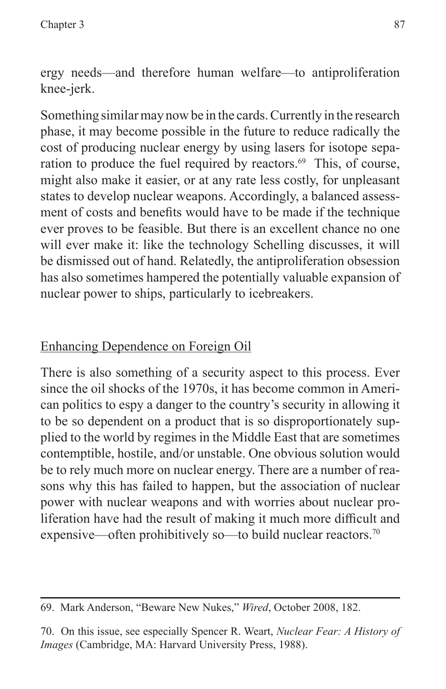ergy needs—and therefore human welfare—to antiproliferation knee-jerk.

Something similar may now be in the cards. Currently in the research phase, it may become possible in the future to reduce radically the cost of producing nuclear energy by using lasers for isotope separation to produce the fuel required by reactors.<sup>69</sup> This, of course, might also make it easier, or at any rate less costly, for unpleasant states to develop nuclear weapons. Accordingly, a balanced assessment of costs and benefits would have to be made if the technique ever proves to be feasible. But there is an excellent chance no one will ever make it: like the technology Schelling discusses, it will be dismissed out of hand. Relatedly, the antiproliferation obsession has also sometimes hampered the potentially valuable expansion of nuclear power to ships, particularly to icebreakers.

#### Enhancing Dependence on Foreign Oil

There is also something of a security aspect to this process. Ever since the oil shocks of the 1970s, it has become common in American politics to espy a danger to the country's security in allowing it to be so dependent on a product that is so disproportionately supplied to the world by regimes in the Middle East that are sometimes contemptible, hostile, and/or unstable. One obvious solution would be to rely much more on nuclear energy. There are a number of reasons why this has failed to happen, but the association of nuclear power with nuclear weapons and with worries about nuclear proliferation have had the result of making it much more difficult and expensive—often prohibitively so—to build nuclear reactors.<sup>70</sup>

<sup>69.</sup> Mark Anderson, "Beware New Nukes," *Wired*, October 2008, 182.

<sup>70.</sup> On this issue, see especially Spencer R. Weart, *Nuclear Fear: A History of Images* (Cambridge, MA: Harvard University Press, 1988).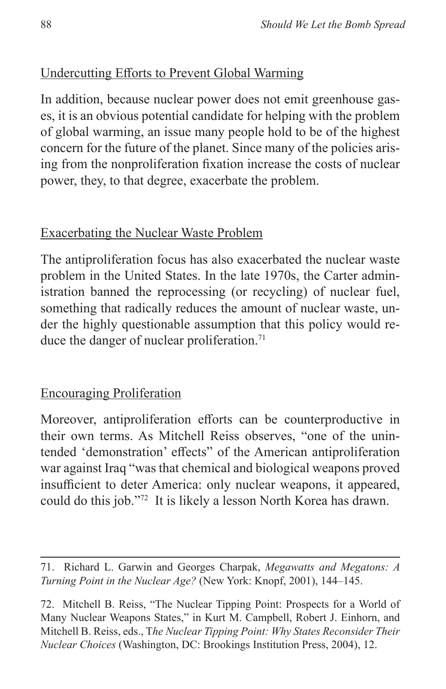## Undercutting Efforts to Prevent Global Warming

In addition, because nuclear power does not emit greenhouse gases, it is an obvious potential candidate for helping with the problem of global warming, an issue many people hold to be of the highest concern for the future of the planet. Since many of the policies arising from the nonproliferation fixation increase the costs of nuclear power, they, to that degree, exacerbate the problem.

#### Exacerbating the Nuclear Waste Problem

The antiproliferation focus has also exacerbated the nuclear waste problem in the United States. In the late 1970s, the Carter administration banned the reprocessing (or recycling) of nuclear fuel, something that radically reduces the amount of nuclear waste, under the highly questionable assumption that this policy would reduce the danger of nuclear proliferation.<sup>71</sup>

#### Encouraging Proliferation

Moreover, antiproliferation efforts can be counterproductive in their own terms. As Mitchell Reiss observes, "one of the unintended 'demonstration' effects" of the American antiproliferation war against Iraq "was that chemical and biological weapons proved insufficient to deter America: only nuclear weapons, it appeared, could do this job."72 It is likely a lesson North Korea has drawn.

<sup>71.</sup> Richard L. Garwin and Georges Charpak, *Megawatts and Megatons: A Turning Point in the Nuclear Age?* (New York: Knopf, 2001), 144–145.

<sup>72.</sup> Mitchell B. Reiss, "The Nuclear Tipping Point: Prospects for a World of Many Nuclear Weapons States," in Kurt M. Campbell, Robert J. Einhorn, and Mitchell B. Reiss, eds., T*he Nuclear Tipping Point: Why States Reconsider Their Nuclear Choices* (Washington, DC: Brookings Institution Press, 2004), 12.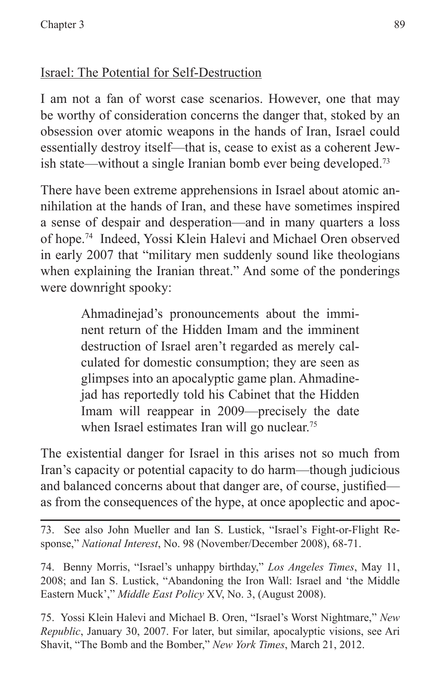## Israel: The Potential for Self-Destruction

I am not a fan of worst case scenarios. However, one that may be worthy of consideration concerns the danger that, stoked by an obsession over atomic weapons in the hands of Iran, Israel could essentially destroy itself—that is, cease to exist as a coherent Jewish state—without a single Iranian bomb ever being developed.73

There have been extreme apprehensions in Israel about atomic annihilation at the hands of Iran, and these have sometimes inspired a sense of despair and desperation—and in many quarters a loss of hope.74 Indeed, Yossi Klein Halevi and Michael Oren observed in early 2007 that "military men suddenly sound like theologians when explaining the Iranian threat." And some of the ponderings were downright spooky:

> Ahmadinejad's pronouncements about the imminent return of the Hidden Imam and the imminent destruction of Israel aren't regarded as merely calculated for domestic consumption; they are seen as glimpses into an apocalyptic game plan. Ahmadinejad has reportedly told his Cabinet that the Hidden Imam will reappear in 2009—precisely the date when Israel estimates Iran will go nuclear.<sup>75</sup>

The existential danger for Israel in this arises not so much from Iran's capacity or potential capacity to do harm—though judicious and balanced concerns about that danger are, of course, justified as from the consequences of the hype, at once apoplectic and apoc-

73. See also John Mueller and Ian S. Lustick, "Israel's Fight-or-Flight Response," *National Interest*, No. 98 (November/December 2008), 68-71.

74. Benny Morris, "Israel's unhappy birthday," *Los Angeles Times*, May 11, 2008; and Ian S. Lustick, "Abandoning the Iron Wall: Israel and 'the Middle Eastern Muck'," *Middle East Policy* XV, No. 3, (August 2008).

75. Yossi Klein Halevi and Michael B. Oren, "Israel's Worst Nightmare," *New Republic*, January 30, 2007. For later, but similar, apocalyptic visions, see Ari Shavit, "The Bomb and the Bomber," *New York Times*, March 21, 2012.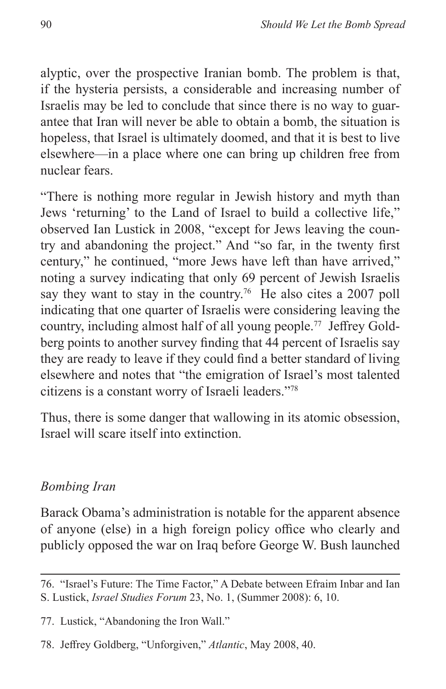alyptic, over the prospective Iranian bomb. The problem is that, if the hysteria persists, a considerable and increasing number of Israelis may be led to conclude that since there is no way to guarantee that Iran will never be able to obtain a bomb, the situation is hopeless, that Israel is ultimately doomed, and that it is best to live elsewhere—in a place where one can bring up children free from nuclear fears.

"There is nothing more regular in Jewish history and myth than Jews 'returning' to the Land of Israel to build a collective life," observed Ian Lustick in 2008, "except for Jews leaving the country and abandoning the project." And "so far, in the twenty first century," he continued, "more Jews have left than have arrived," noting a survey indicating that only 69 percent of Jewish Israelis say they want to stay in the country.<sup>76</sup> He also cites a 2007 poll indicating that one quarter of Israelis were considering leaving the country, including almost half of all young people.77 Jeffrey Goldberg points to another survey finding that 44 percent of Israelis say they are ready to leave if they could find a better standard of living elsewhere and notes that "the emigration of Israel's most talented citizens is a constant worry of Israeli leaders."78

Thus, there is some danger that wallowing in its atomic obsession, Israel will scare itself into extinction.

#### *Bombing Iran*

Barack Obama's administration is notable for the apparent absence of anyone (else) in a high foreign policy office who clearly and publicly opposed the war on Iraq before George W. Bush launched

<sup>76. &</sup>quot;Israel's Future: The Time Factor," A Debate between Efraim Inbar and Ian S. Lustick, *Israel Studies Forum* 23, No. 1, (Summer 2008): 6, 10.

<sup>77.</sup> Lustick, "Abandoning the Iron Wall."

<sup>78.</sup> Jeffrey Goldberg, "Unforgiven," *Atlantic*, May 2008, 40.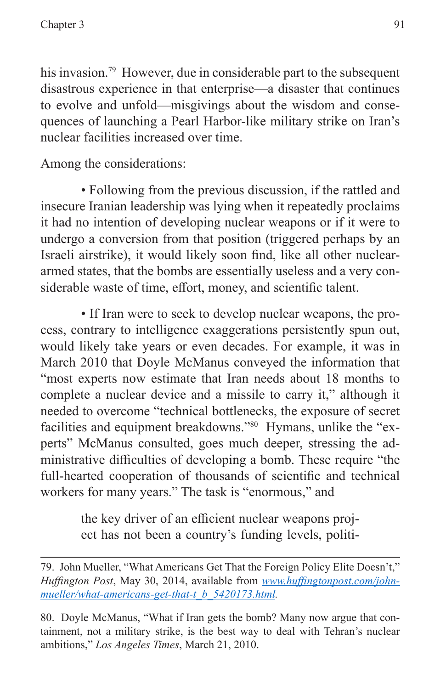his invasion.<sup>79</sup> However, due in considerable part to the subsequent disastrous experience in that enterprise—a disaster that continues to evolve and unfold—misgivings about the wisdom and consequences of launching a Pearl Harbor-like military strike on Iran's nuclear facilities increased over time.

Among the considerations:

• Following from the previous discussion, if the rattled and insecure Iranian leadership was lying when it repeatedly proclaims it had no intention of developing nuclear weapons or if it were to undergo a conversion from that position (triggered perhaps by an Israeli airstrike), it would likely soon find, like all other nucleararmed states, that the bombs are essentially useless and a very considerable waste of time, effort, money, and scientific talent.

• If Iran were to seek to develop nuclear weapons, the process, contrary to intelligence exaggerations persistently spun out, would likely take years or even decades. For example, it was in March 2010 that Doyle McManus conveyed the information that "most experts now estimate that Iran needs about 18 months to complete a nuclear device and a missile to carry it," although it needed to overcome "technical bottlenecks, the exposure of secret facilities and equipment breakdowns."80 Hymans, unlike the "experts" McManus consulted, goes much deeper, stressing the administrative difficulties of developing a bomb. These require "the full-hearted cooperation of thousands of scientific and technical workers for many years." The task is "enormous," and

> the key driver of an efficient nuclear weapons project has not been a country's funding levels, politi-

<sup>79.</sup> John Mueller, "What Americans Get That the Foreign Policy Elite Doesn't," *Huffington Post*, May 30, 2014, available from *[www.huffingtonpost.com/john](www.huffingtonpost.com/john-mueller/what-americans-get-that-t_b_5420173.html)[mueller/what-americans-get-that-t\\_b\\_5420173.html.](www.huffingtonpost.com/john-mueller/what-americans-get-that-t_b_5420173.html)*

<sup>80.</sup> Doyle McManus, "What if Iran gets the bomb? Many now argue that containment, not a military strike, is the best way to deal with Tehran's nuclear ambitions," *Los Angeles Times*, March 21, 2010.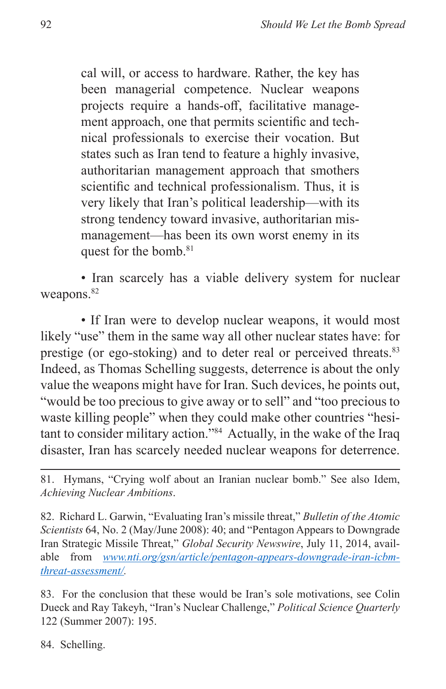cal will, or access to hardware. Rather, the key has been managerial competence. Nuclear weapons projects require a hands-off, facilitative management approach, one that permits scientific and technical professionals to exercise their vocation. But states such as Iran tend to feature a highly invasive, authoritarian management approach that smothers scientific and technical professionalism. Thus, it is very likely that Iran's political leadership—with its strong tendency toward invasive, authoritarian mismanagement—has been its own worst enemy in its quest for the bomb.<sup>81</sup>

• Iran scarcely has a viable delivery system for nuclear weapons.<sup>82</sup>

• If Iran were to develop nuclear weapons, it would most likely "use" them in the same way all other nuclear states have: for prestige (or ego-stoking) and to deter real or perceived threats.<sup>83</sup> Indeed, as Thomas Schelling suggests, deterrence is about the only value the weapons might have for Iran. Such devices, he points out, "would be too precious to give away or to sell" and "too precious to waste killing people" when they could make other countries "hesitant to consider military action."84 Actually, in the wake of the Iraq disaster, Iran has scarcely needed nuclear weapons for deterrence.

82. Richard L. Garwin, "Evaluating Iran's missile threat," *Bulletin of the Atomic Scientists* 64, No. 2 (May/June 2008): 40; and "Pentagon Appears to Downgrade Iran Strategic Missile Threat," *Global Security Newswire*, July 11, 2014, available from *[www.nti.org/gsn/article/pentagon-appears-downgrade-iran-icbm](www.nti.org/gsn/article/pentagon-appears-downgrade-iran-icbm-threat-assessment/)[threat-assessment/](www.nti.org/gsn/article/pentagon-appears-downgrade-iran-icbm-threat-assessment/).*

83. For the conclusion that these would be Iran's sole motivations, see Colin Dueck and Ray Takeyh, "Iran's Nuclear Challenge," *Political Science Quarterly* 122 (Summer 2007): 195.

84. Schelling.

<sup>81.</sup> Hymans, "Crying wolf about an Iranian nuclear bomb." See also Idem, *Achieving Nuclear Ambitions*.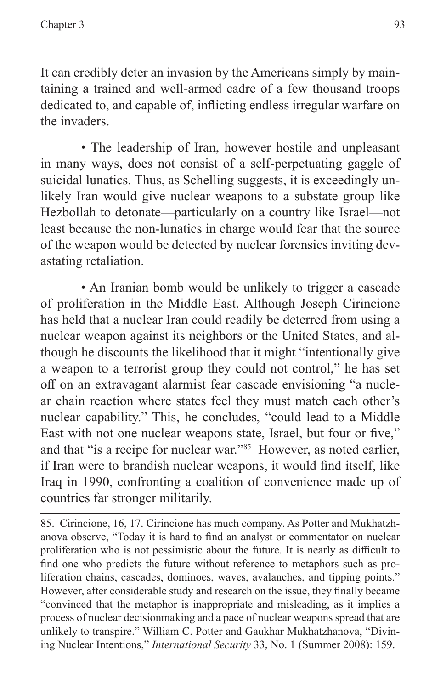It can credibly deter an invasion by the Americans simply by maintaining a trained and well-armed cadre of a few thousand troops dedicated to, and capable of, inflicting endless irregular warfare on the invaders.

• The leadership of Iran, however hostile and unpleasant in many ways, does not consist of a self-perpetuating gaggle of suicidal lunatics. Thus, as Schelling suggests, it is exceedingly unlikely Iran would give nuclear weapons to a substate group like Hezbollah to detonate—particularly on a country like Israel—not least because the non-lunatics in charge would fear that the source of the weapon would be detected by nuclear forensics inviting devastating retaliation.

• An Iranian bomb would be unlikely to trigger a cascade of proliferation in the Middle East. Although Joseph Cirincione has held that a nuclear Iran could readily be deterred from using a nuclear weapon against its neighbors or the United States, and although he discounts the likelihood that it might "intentionally give a weapon to a terrorist group they could not control," he has set off on an extravagant alarmist fear cascade envisioning "a nuclear chain reaction where states feel they must match each other's nuclear capability." This, he concludes, "could lead to a Middle East with not one nuclear weapons state, Israel, but four or five," and that "is a recipe for nuclear war."85 However, as noted earlier, if Iran were to brandish nuclear weapons, it would find itself, like Iraq in 1990, confronting a coalition of convenience made up of countries far stronger militarily.

85. Cirincione, 16, 17. Cirincione has much company. As Potter and Mukhatzhanova observe, "Today it is hard to find an analyst or commentator on nuclear proliferation who is not pessimistic about the future. It is nearly as difficult to find one who predicts the future without reference to metaphors such as proliferation chains, cascades, dominoes, waves, avalanches, and tipping points." However, after considerable study and research on the issue, they finally became "convinced that the metaphor is inappropriate and misleading, as it implies a process of nuclear decisionmaking and a pace of nuclear weapons spread that are unlikely to transpire." William C. Potter and Gaukhar Mukhatzhanova, "Divining Nuclear Intentions," *International Security* 33, No. 1 (Summer 2008): 159.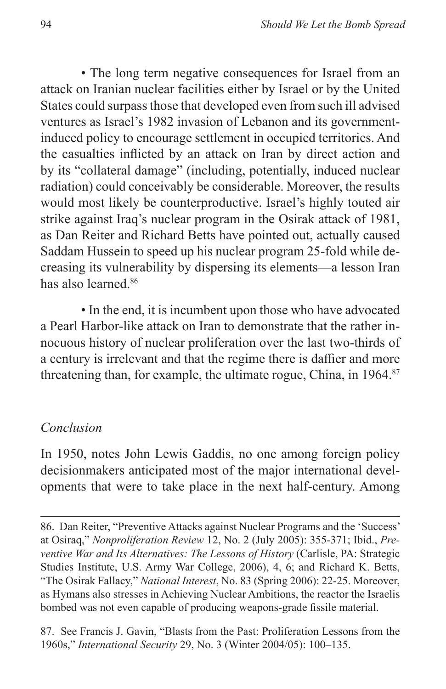• The long term negative consequences for Israel from an attack on Iranian nuclear facilities either by Israel or by the United States could surpass those that developed even from such ill advised ventures as Israel's 1982 invasion of Lebanon and its governmentinduced policy to encourage settlement in occupied territories. And the casualties inflicted by an attack on Iran by direct action and by its "collateral damage" (including, potentially, induced nuclear radiation) could conceivably be considerable. Moreover, the results would most likely be counterproductive. Israel's highly touted air strike against Iraq's nuclear program in the Osirak attack of 1981, as Dan Reiter and Richard Betts have pointed out, actually caused Saddam Hussein to speed up his nuclear program 25-fold while decreasing its vulnerability by dispersing its elements—a lesson Iran has also learned.86

• In the end, it is incumbent upon those who have advocated a Pearl Harbor-like attack on Iran to demonstrate that the rather innocuous history of nuclear proliferation over the last two-thirds of a century is irrelevant and that the regime there is daffier and more threatening than, for example, the ultimate rogue, China, in 1964.<sup>87</sup>

#### *Conclusion*

In 1950, notes John Lewis Gaddis, no one among foreign policy decisionmakers anticipated most of the major international developments that were to take place in the next half-century. Among

87. See Francis J. Gavin, "Blasts from the Past: Proliferation Lessons from the 1960s," *International Security* 29, No. 3 (Winter 2004/05): 100–135.

<sup>86.</sup> Dan Reiter, "Preventive Attacks against Nuclear Programs and the 'Success' at Osiraq," *Nonproliferation Review* 12, No. 2 (July 2005): 355-371; Ibid., *Preventive War and Its Alternatives: The Lessons of History* (Carlisle, PA: Strategic Studies Institute, U.S. Army War College, 2006), 4, 6; and Richard K. Betts, "The Osirak Fallacy," *National Interest*, No. 83 (Spring 2006): 22-25. Moreover, as Hymans also stresses in Achieving Nuclear Ambitions, the reactor the Israelis bombed was not even capable of producing weapons-grade fissile material.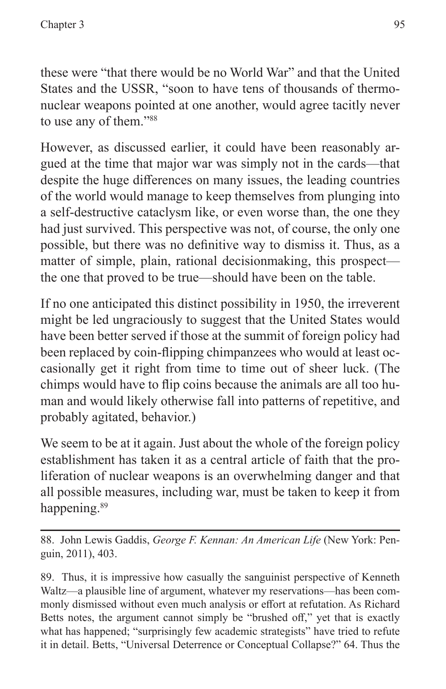these were "that there would be no World War" and that the United States and the USSR, "soon to have tens of thousands of thermonuclear weapons pointed at one another, would agree tacitly never to use any of them."88

However, as discussed earlier, it could have been reasonably argued at the time that major war was simply not in the cards—that despite the huge differences on many issues, the leading countries of the world would manage to keep themselves from plunging into a self-destructive cataclysm like, or even worse than, the one they had just survived. This perspective was not, of course, the only one possible, but there was no definitive way to dismiss it. Thus, as a matter of simple, plain, rational decisionmaking, this prospect the one that proved to be true—should have been on the table.

If no one anticipated this distinct possibility in 1950, the irreverent might be led ungraciously to suggest that the United States would have been better served if those at the summit of foreign policy had been replaced by coin-flipping chimpanzees who would at least occasionally get it right from time to time out of sheer luck. (The chimps would have to flip coins because the animals are all too human and would likely otherwise fall into patterns of repetitive, and probably agitated, behavior.)

We seem to be at it again. Just about the whole of the foreign policy establishment has taken it as a central article of faith that the proliferation of nuclear weapons is an overwhelming danger and that all possible measures, including war, must be taken to keep it from happening.<sup>89</sup>

88. John Lewis Gaddis, *George F. Kennan: An American Life* (New York: Penguin, 2011), 403.

89. Thus, it is impressive how casually the sanguinist perspective of Kenneth Waltz—a plausible line of argument, whatever my reservations—has been commonly dismissed without even much analysis or effort at refutation. As Richard Betts notes, the argument cannot simply be "brushed off," yet that is exactly what has happened; "surprisingly few academic strategists" have tried to refute it in detail. Betts, "Universal Deterrence or Conceptual Collapse?" 64. Thus the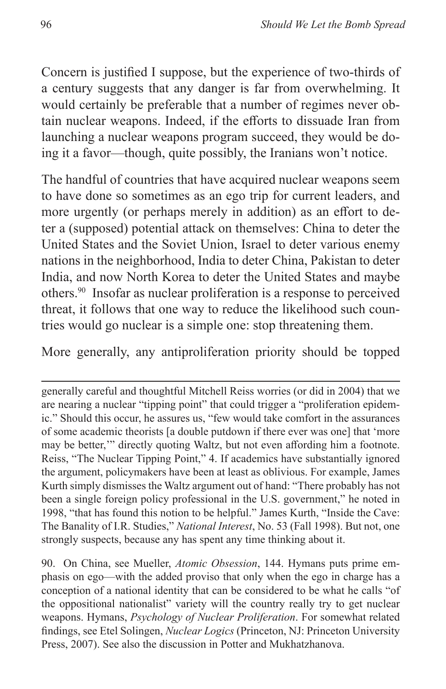Concern is justified I suppose, but the experience of two-thirds of a century suggests that any danger is far from overwhelming. It would certainly be preferable that a number of regimes never obtain nuclear weapons. Indeed, if the efforts to dissuade Iran from launching a nuclear weapons program succeed, they would be doing it a favor—though, quite possibly, the Iranians won't notice.

The handful of countries that have acquired nuclear weapons seem to have done so sometimes as an ego trip for current leaders, and more urgently (or perhaps merely in addition) as an effort to deter a (supposed) potential attack on themselves: China to deter the United States and the Soviet Union, Israel to deter various enemy nations in the neighborhood, India to deter China, Pakistan to deter India, and now North Korea to deter the United States and maybe others.90 Insofar as nuclear proliferation is a response to perceived threat, it follows that one way to reduce the likelihood such countries would go nuclear is a simple one: stop threatening them.

More generally, any antiproliferation priority should be topped

generally careful and thoughtful Mitchell Reiss worries (or did in 2004) that we are nearing a nuclear "tipping point" that could trigger a "proliferation epidemic." Should this occur, he assures us, "few would take comfort in the assurances of some academic theorists [a double putdown if there ever was one] that 'more may be better,'" directly quoting Waltz, but not even affording him a footnote. Reiss, "The Nuclear Tipping Point," 4. If academics have substantially ignored the argument, policymakers have been at least as oblivious. For example, James Kurth simply dismisses the Waltz argument out of hand: "There probably has not been a single foreign policy professional in the U.S. government," he noted in 1998, "that has found this notion to be helpful." James Kurth, "Inside the Cave: The Banality of I.R. Studies," *National Interest*, No. 53 (Fall 1998). But not, one strongly suspects, because any has spent any time thinking about it.

90. On China, see Mueller, *Atomic Obsession*, 144. Hymans puts prime emphasis on ego—with the added proviso that only when the ego in charge has a conception of a national identity that can be considered to be what he calls "of the oppositional nationalist" variety will the country really try to get nuclear weapons. Hymans, *Psychology of Nuclear Proliferation*. For somewhat related findings, see Etel Solingen, *Nuclear Logics* (Princeton, NJ: Princeton University Press, 2007). See also the discussion in Potter and Mukhatzhanova.